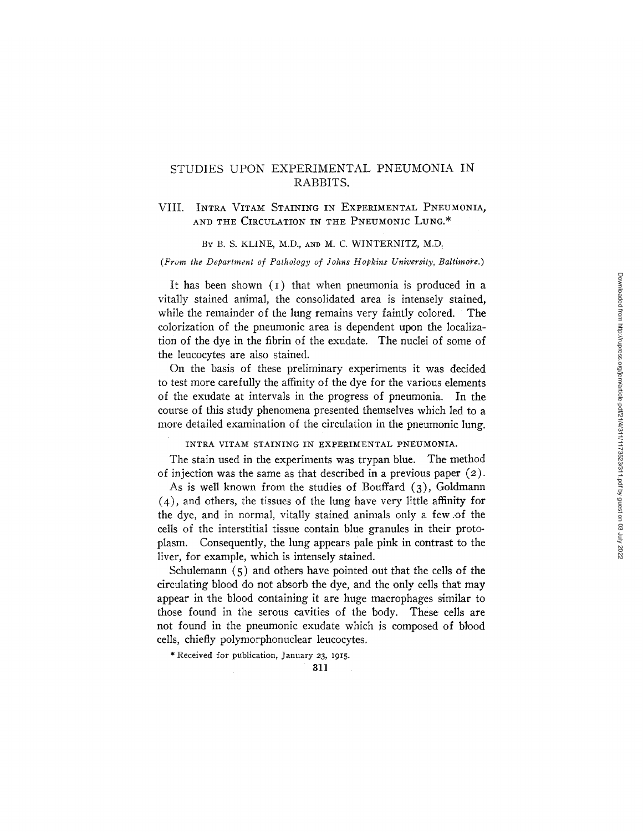# STUDIES UPON EXPERIMENTAL PNEUMONIA IN RABBITS.

## VIII. INTRA VITAM STAINING IN EXPERIMENTAL PNEUMONIA, AND THE CIRCULATION IN THE PNEUMONIC LUNG.\*

#### BY B. S. KLINE, M.D., AND M. C. WINTERNITZ, M.D.

#### *(From the Department of Pathology of Johns Hopkins University, Baltimore.)*

It has been shown (I) that when pneumonia is produced in a vitally stained animal, the consolidated area is intensely stained, while the remainder of the lung remains very faintly colored. The colorization of the pneumonic area is dependent upon the localization of the dye in the fibrin of the exudate. The nuclei of some of the leucocytes are also stained.

On the basis of these preliminary experiments it was decided to test more carefully the affinity of the dye for the various elements of the exudate at intervals in the progress of pneumonia. In the course of this study phenomena presented themselves which led to a more detailed examination of the circulation in the pneumonic lung.

INTRA VITAM STAINING IN EXPERIMENTAL PNEUMONIA.

The stain used in the experiments was trypan blue. The method of injection was the same as that described in a previous paper (2).

As is well known from the studies of Bouffard (3), Goldmann (4), and others, the tissues of the lung have very little affinity for the dye, and in normal, vitally stained animals only a few .of the cells of the interstitial tissue contain blue granules in their protoplasm. Consequently, the lung appears pale pink in contrast to the liver, for example, which is intensely stained.

Schulemann (5) and others have pointed out that the cells of the circulating blood do not absorb the dye, and the only cells that may appear in the blood containing it are huge macrophages similar to those found in the serous cavities of the body. These ceils are not found in the pneumonic exudate which is composed of blood cells, chiefly polymorphonuclear leucocytes.

\* Received for publication, January 23, 1915.

311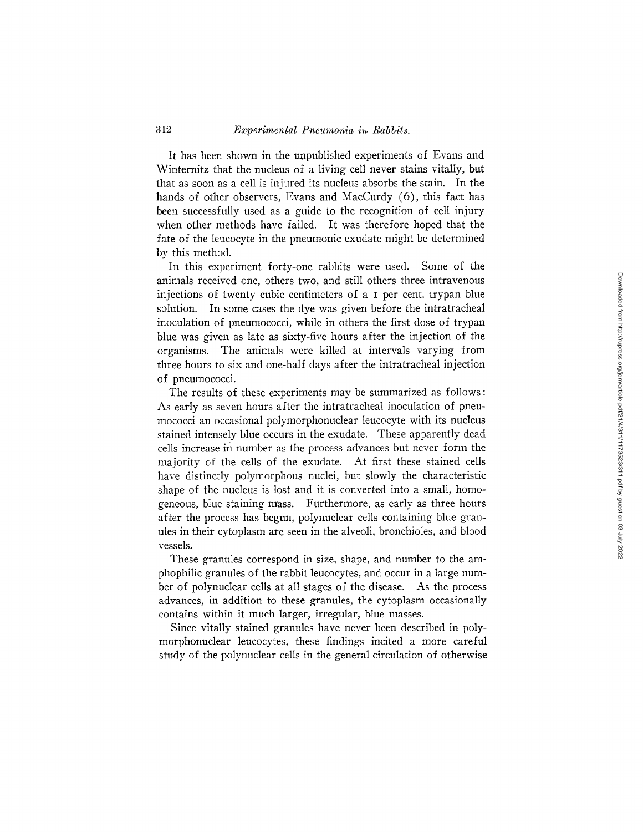It has been shown in the unpublished experiments of Evans and Winternitz that the nucleus of a living cell never stains vitally, but that as soon as a cell is injured its nucleus absorbs the stain. In the hands of other observers, Evans and MacCurdy (6), this fact has been successfully used as a guide to the recognition of cell injury when other methods have failed. It was therefore hoped that the fate of the leucocyte in the pneumonic exudate might be determined by this method.

In this experiment forty-one rabbits were used. Some of the animals received one, others two, and still others three intravenous injections of twenty cubic centimeters of a I per cent. trypan blue solution. In some cases the dye was given before the intratracheal inoculation of pneumococci, while in others the first dose of trypan blue was given as late as sixty-five hours after the injection of the organisms. The animals were killed at intervals varying from three hours to six and one-half days after the intratracheal injection of pneumococci.

The results of these experiments may be summarized as follows: As early as seven hours after the intratracheal inoculation of pneumococci an occasional polymorphonuclear leucocyte with its nucleus stained intensely blue occurs in the exudate. These apparently dead cells increase in number as the process advances but never form the majority of the cells of the exudate. At first these stained cells have distinctly polymorphous nuclei, but slowly the characteristic shape of the nucleus is lost and it is converted into a small, homogeneous, blue staining mass. Furthermore, as early as three hours after the process has begun, polynuclear cells containing blue granules in their cytoplasm are seen in the alveoli, bronchioles, and blood vessels.

These granules correspond in size, shape, and number to the amphophilic granules of the rabbit leucocytes, and occur in a large number of polynuclear cells at all stages of the disease. As the process advances, in addition to these granules, the cytoplasm occasionally contains within it much larger, irregular, blue masses.

Since vitally stained granules have never been described in polymorphonuclear leucocytes, these findings incited a more careful study of the polynuclear cells in the general circulation of otherwise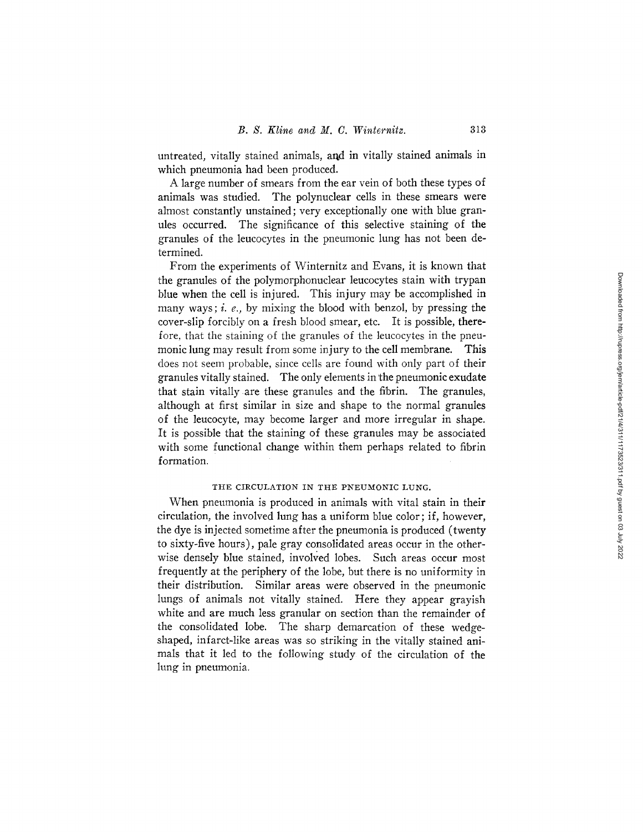untreated, vitally stained animals, and in vitally stained animals in which pneumonia had been produced.

A large number of smears from the ear vein of both these types of animals was studied. The polynuclear cells in these smears were almost constantly unstained; very exceptionally one with blue granules occurred. The significance of this selective staining of the granules of the leucocytes in the pneumonic lung has not been determined.

From the experiments of Winternitz and Evans, it is known that the granules of the polymorphonuclear leucocytes stain with trypan blue when the cell is injured. This injury may be accomplished in many ways; i. e., by mixing the blood with benzol, by pressing the cover-slip forcibly on a fresh blood smear, etc. It is possible, therefore, that the staining of the granules of the leucocytes in the pneumonic lung may result from some injury to the cell membrane. This does not seem probable, since cells are found with only part of their granules vitally stained. The only elements in 'the pneumonic exudate that stain vitally are these granules and the fibrin. The granules, although at first similar in size and shape to the normal granules of the leucocyte, may become larger and more irregular in shape. It is possible that the staining of these granules may be associated with some functional change within them perhaps related to fibrin formation.

### THE CIRCULATION IN THE PNEUMONIC LUNG.

When pneumonia is produced in animals with vital stain in their circulation, the involved lung has a uniform blue color; if, however, the dye is injected sometime after the pneumonia is produced (twenty to sixty-five hours), pale gray consolidated areas occur in the otherwise densely blue stained, involved lobes. Such areas occur most frequently at the periphery of the lobe, but there is no uniformity in their distribution. Similar areas were observed in the pneumonic lungs of animals not vitally stained. Here they appear grayish white and are much less granular on section than the remainder of the consolidated lobe. The sharp demarcation of these wedgeshaped, infarct-like areas was so striking in the vitally stained animals that it led to the following study of the circulation of the lung in pneumonia.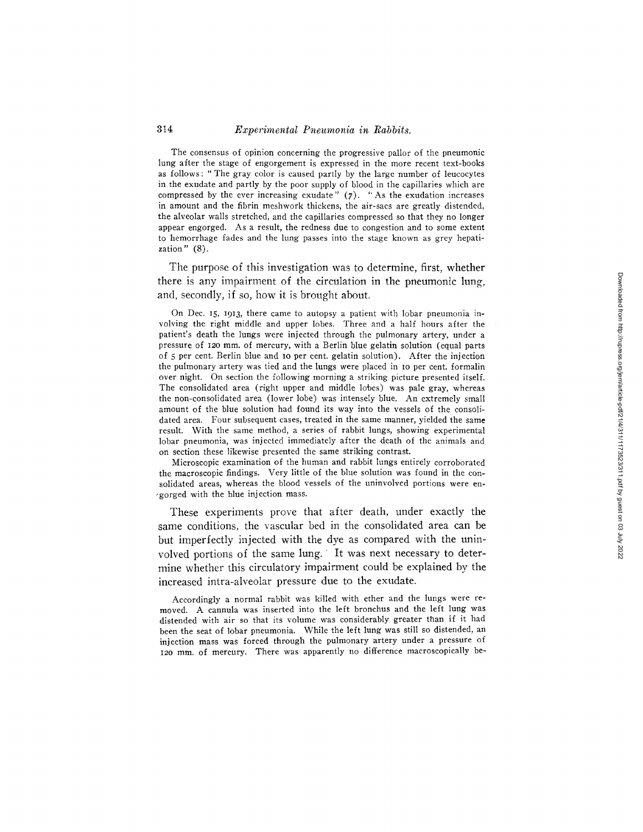The consensus of opinion concerning the progressive pallor of the pneumonic lung after the stage of engorgement is expressed in the more recent text-books as follows: " The gray color is caused partly by the large number of leucocytes in the exudate and partly by the poor supply of blood in the capillaries which are compressed by the ever increasing exudate" (7). "As the exudation increases in amount and the fibrin meshwork thickens, the air-sacs are greatly distended, the alveolar walls stretched, and the capillaries compressed so that they no longer appear engorged. As a result, the redness due to congestion and to some extent to hemorrhage fades and the lung passes into the stage known as grey hepatization"  $(8)$ .

The purpose of this investigation was to determine, first, whether there is any impairment of the circulation in the pneumonic lung, and, secondly, if so, how it is brought about.

On Dec. I5, I913, there came to autopsy a patient with lobar pneumonia involving the right middle and upper lobes. Three and a half hours after the patient's death the lungs were injected through the pulmonary artery, under a pressure of 120 mm. of mercury, with a Berlin blue gelatin solution (equal parts of 5 per cent. Berlin blue and Io per cent. gelatin solution). After the injection the pulmonary artery was tied and the lungs were placed in Io per cent. formalin over night. On section the following morning a striking picture presented itself. The consolidated area (right upper and middle lobes) was pale gray, whereas the non-consolidated area (lower lobe) was intensely blue. An extremely small amount of the blue solution had found its way into the vessels of the consolidated area. Four subsequent cases, treated in the same manner, yielded the same result. With the same method, a series of rabbit lungs, showing experimental lobar pneumonia, was injected immediately after the death of the animals and on section these likewise presented the same striking contrast.

Microscopic examination of the human and rabbit lungs entirely corroborated the macroscopic findings. Very little of the blue solution was found in the consolidated areas, whereas the blood vessels of the uninvolved portions were en- ,gorged with the blue injection mass.

These experiments prove that after death, under exactly the same conditions, the vascular bed in the consolidated area can be but imperfectly injected with the dye as compared with the uninvolved portions of the same lung. It was next necessary to determine whether this circulatory impairment could be explained by the increased intra-alveolar pressure due to the exudate.

Accordingly a normal rabbit was killed with ether and the lungs were removed. A cannula was inserted into the left bronchus and the left lung was distended with air so that its volume was considerably greater than if it had been the seat of lobar pneumonia. While the left lung was still so distended, an injection mass was forced through the pulmonary artery under a pressure of 120 mm. of mercury. There was apparently no difference macroscopically be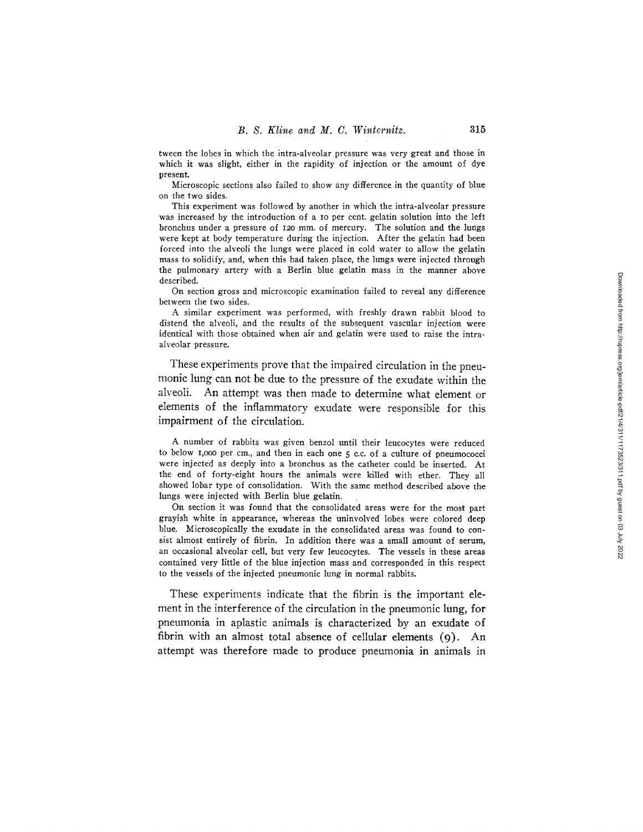tween the lobes in which the intra-alveolar pressure was very great and those in which it was slight, either in the rapidity of injection or the amount of dye present.

Microscopic sections also failed to show any difference in the quantity of blue on the two sides.

This experiment was followed by another in which the intra-alveolar pressure was increased by the introduction of a IO per cent. gelatin solution into the left bronchus under a pressure of 120 mm. of mercury. The solution and the lungs were kept at body temperature during the injection. After the gelatin had been forced into the alveoli the lungs were placed in cold water to allow the gelatin mass to solidify, and, when this had taken place, the lungs were injected through the pulmonary artery with a Berlin blue gelatin mass in the manner above described.

On section gross and microscopic examination failed to reveal any difference between the two sides.

A similar experiment was performed, with freshly drawn rabbit blood to distend the alveoli, and the results of the subsequent vascular injection were identical with those obtained when air and gelatin were used to raise the intraalveolar pressure.

These experiments prove that the impaired circulation in the pneumonic lung can not be due to the pressure of the exudate within the alveoli. An attempt was then made to determine what element or elements of the inflammatory exudate were responsible for this impairment of the circulation.

A number of rabbits was given benzol until their leucocytes were reduced to below I,OOO per cm., and then in each one 5 c.c. of a culture of pneumococci were injected as deeply into a bronchus as the catheter could be inserted. At the end of forty-eight hours the animals were killed with ether. They all showed lobar type of consolidation. With the same method described above the lungs were injected with Berlin blue gelatin.

On section it was found that the consolidated areas were for the most part grayish white in appearance, whereas the uninvolved lobes were colored deep blue. Microscopically the exudate in the consolidated areas was found to consist almost entirely of fibrin. In addition there was a small amount of serum, an occasional alveolar cell, but very few leucocytes. The vessels in these areas contained very little of the blue injection mass and corresponded in this respect to the vessels of the injected pneumonic lung in normal rabbits.

These experiments indicate that the fibrin is the important element in the interference of the circulation in the pneumonic lung, for pneumonia in aplastic animals is characterized by an exudate Of fibrin with an almost total absence of cellular elements (9). An attempt was therefore made to produce pneumonia in animals in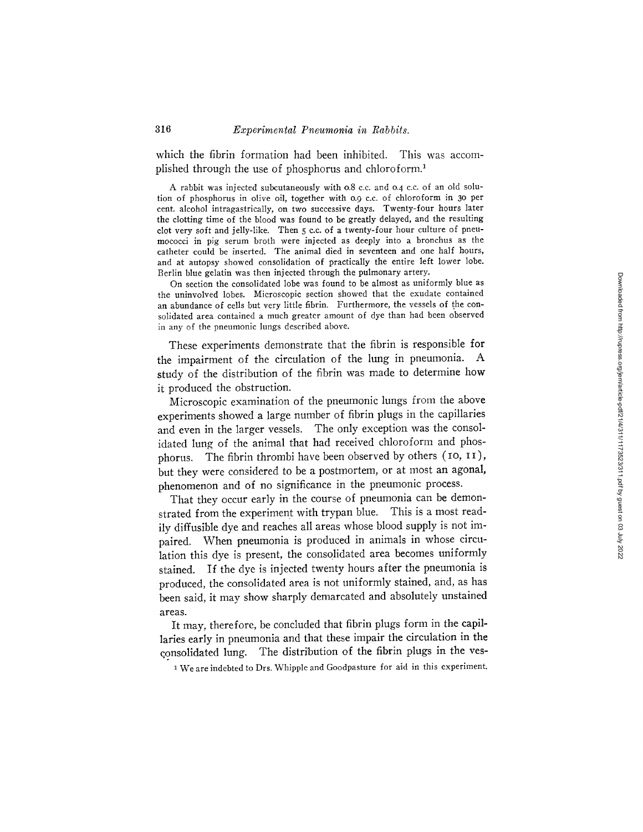which the fibrin formation had been inhibited. This was accomplished through the use of phosphorus and chloroform.<sup>1</sup>

A rabbit was injected subcutaneously with o.8 c.c. and o.4 c.c. of an old solution of phosphorus in olive oil, together with 0.9 c.c. of chloroform in 3o per cent. alcohol intragastrically, on two successive days. Twenty-four hours later the clotting time of the blood was found to be greatly delayed, and the resulting clot very soft and jelly-like. Then 5 c.c. of a twenty-four hour culture of pneumococci in pig serum broth were injected as deeply into a bronchus as the catheter could be inserted. The animal died in seventeen and one half hours, and at autopsy showed consolidation of practically the entire left lower lobe. Berlin blue gelatin was then injected through the pulmonary artery.

On section the consolidated lobe was found to be almost as uniformly blue as the uninvolved lobes. Microscopic section showed that the exudate contained an abundance of cells but very little fibrin. Furthermore, the vessels of the consolidated area contained a much greater amount of dye than had been observed in any of the pneumonic lungs described above.

These experiments demonstrate that the fibrin is responsible for the impairment of the circulation of the lung in pneumonia. A study of the distribution of the fibrin was made to determine how it produced the obstruction.

Microscopic examination of the pneumonic lungs from the above experiments showed a large number of fibrin plugs in the capillaries and even in the larger vessels. The only exception was the consolidated lung of the animal that had received chloroform and phosphorus. The fibrin thrombi have been observed by others (10, 11), but they were considered to be a postmortem, or at most an agonal, phenomenon and of no significance in the pneumonic process.

That they occur early in the course of pneumonia can be demonstrated from the experiment with trypan blue. This is a most readily diffusible dye and reaches all areas whose blood supply is not impaired. When pneumonia is produced in animals in whose circulation this dye is present, the consolidated area becomes uniformly stained. If the dye is injected twenty hours after the pneumonia is produced, the consolidated area is not uniformly stained, and, as has been said, it may show sharply demarcated and absolutely unstained areas.

It may, therefore, be concluded that fibrin plugs form in the capillaries early in pneumonia and that these impair the circulation in the consolidated lung. The distribution of the fibrin plugs in the ves-

1 We are indebted to Drs. Whipple and Goodpasture for aid in this experiment.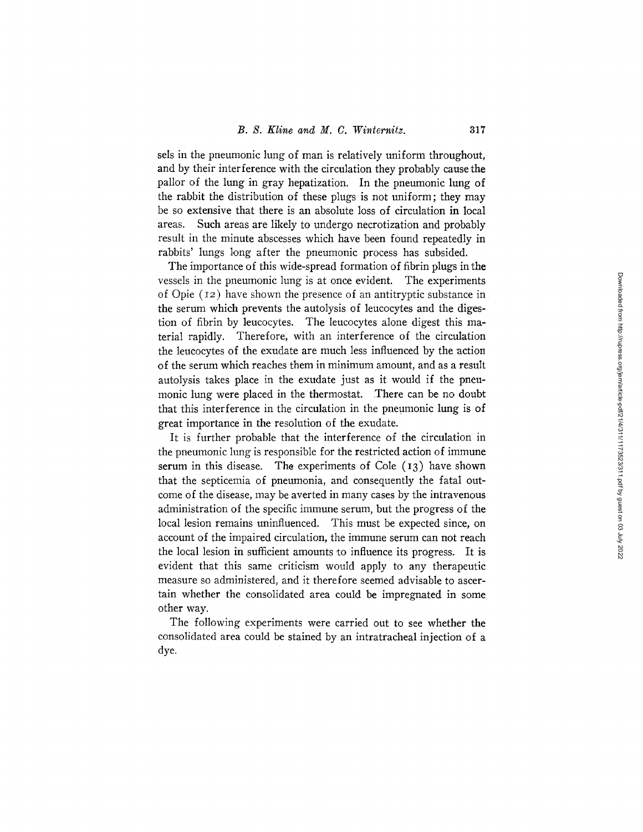sels in the pneumonic lung of man is relatively uniform throughout, and by their interference with the circulation they probably cause the pallor of the lung in gray hepatization. In the pneumonic lung of the rabbit the distribution of these plugs is not uniform; they may be so extensive that there is an absolute loss of circulation in local areas. Such areas are likely to undergo necrotization and probably result in the minute abscesses which have been found repeatedly in rabbits' lungs long after the pneumonic process has subsided.

The importance of this wide-spread formation of fibrin plugs in the vessels in the pneumonic lung is at once evident. The experiments of Opie (12) have shown the presence of an antitryptic substance in the serum which prevents the autolysis of leucocytes and the digestion of fibrin by leucocytes. The leucocytes alone digest this material rapidly. Therefore, with an interference of the circulation the leucocytes of the exudate are much less influenced by the 'action of the serum which reaches them in minimum amount, and as a result autolysis takes place in the exudate just as it would if the pneumonic lung were placed in the thermostat. There can be no doubt that this interference in the circulation in the pneumonic lung is of great importance in the resolution of the exudate.

It is further probable that the interference of the circulation in the pneumonic lung is responsible for the restricted action of immune serum in this disease. The experiments of Cole (13) have shown that the septicemia of pneumonia, and consequently the fatal outcome of the disease, may be averted in many cases by the intravenous administration of the specific immune serum, but the progress of the local lesion remains uninfluenced. This must be expected since, on account of the impaired circulation, the immune serum can not reach the local lesion in sufficient amounts to influence its progress. It is evident that this same criticism would apply to any therapeutic measure so administered, and it therefore seemed advisable to ascertain whether the consolidated area could be impregnated in some other way.

The following experiments were carried out to see whether the consolidated area could be stained by an intratracheal injection of a dye.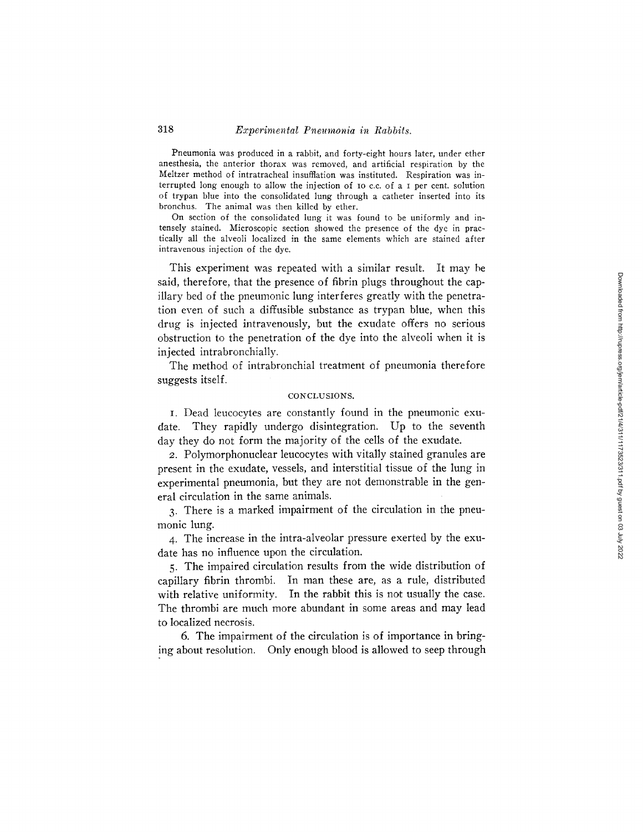Pneumonia was produced in a rabbit, and forty-eight hours later, under ether anesthesia, the anterior thorax was removed, and artificial respiration by the Meltzer method of intratracheal insuffiation was instituted. Respiration was interrupted long enough to allow the injection of Io c.c. of a I per cent. solution of trypan blue into the consolidated lung through a catheter inserted into its bronchus. The animal was then killed by ether.

On section of the consolidated lung it was found to be uniformly and intensely stained. Microscopic section showed the presence of the dye in practically all the alveoli localized in the same elements which are stained after intravenous injection of the dye.

This experiment was repeated with a similar result. It may be said, therefore, that the presence of fibrin plugs throughout the capillary bed of the pneumonic lung interferes greatly with the penetration even of such a diffusible substance as trypan blue, when this drug is injected intravenously, but the exudate offers no serious obstruction to the penetration of the dye into the alveoli when it is injected intrabronchially.

The method of intrabronchial treatment of pneumonia therefore suggests itself.

#### CONCLUSIONS.

I. Dead leucocytes are constantly found in the pneumonic exudate. They rapidly undergo disintegration. Up to the seventh day they do not form the majority of the cells of the exudate.

2. Polymorphonuclear leucocytes with vitally stained granules are present in the exudate, vessels, and interstitial tissue of the lung in experimental pneumonia, but they are not demonstrable in the general circulation in the same animals.

3. There is a marked impairment of the circulation in the pneumonic lung.

4. The increase in the intra-alveolar pressure exerted by the exudate has no influence upon the circulation.

5- The impaired circulation results from the wide distribution of capillary fibrin thrombi. In man these are, as a rule, distributed with relative uniformity. In the rabbit this is not usually the case. The thrombi are much more abundant in some areas and may lead to localized necrosis.

6. The impairment of the circulation is of importance in bringing about resolution. Only enough blood is allowed to seep through